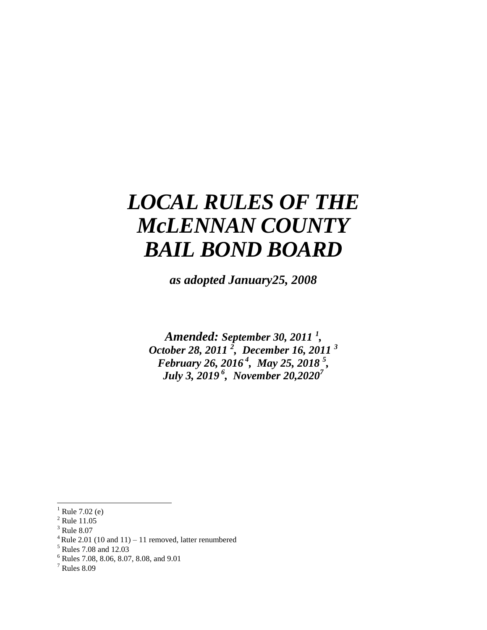# *LOCAL RULES OF THE McLENNAN COUNTY BAIL BOND BOARD*

*as adopted January25, 2008*

*Amended: September 30, 2011 <sup>1</sup> , October 28, 2011 <sup>2</sup> , December 16, 2011 <sup>3</sup> February 26, 2016 <sup>4</sup> , May 25, 2018 <sup>5</sup> , July 3, 2019 <sup>6</sup> , November 20,2020<sup>7</sup>*

<sup>3</sup> Rule 8.07

 $\overline{a}$ 

 $4$  Rule 2.01 (10 and 11) – 11 removed, latter renumbered

<sup>6</sup> Rules 7.08, 8.06, 8.07, 8.08, and 9.01

Rule 7.02 (e)

<sup>&</sup>lt;sup>2</sup> Rule 11.05

<sup>5</sup> Rules 7.08 and 12.03

<sup>7</sup> Rules 8.09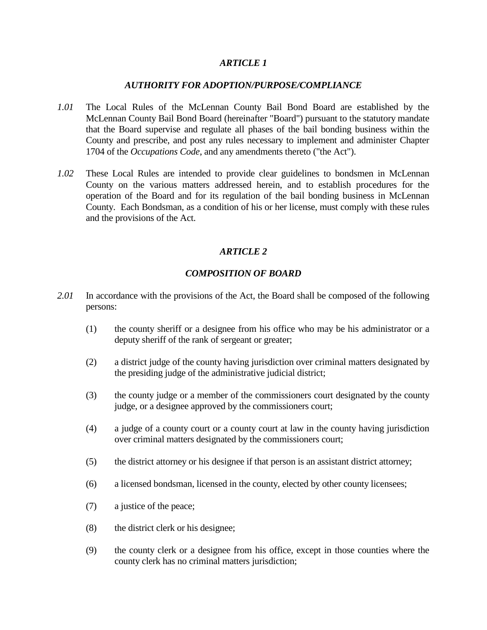# *AUTHORITY FOR ADOPTION/PURPOSE/COMPLIANCE*

- *1.01* The Local Rules of the McLennan County Bail Bond Board are established by the McLennan County Bail Bond Board (hereinafter "Board") pursuant to the statutory mandate that the Board supervise and regulate all phases of the bail bonding business within the County and prescribe, and post any rules necessary to implement and administer Chapter 1704 of the *Occupations Code*, and any amendments thereto ("the Act").
- *1.02* These Local Rules are intended to provide clear guidelines to bondsmen in McLennan County on the various matters addressed herein, and to establish procedures for the operation of the Board and for its regulation of the bail bonding business in McLennan County. Each Bondsman, as a condition of his or her license, must comply with these rules and the provisions of the Act.

# *ARTICLE 2*

# *COMPOSITION OF BOARD*

- *2.01* In accordance with the provisions of the Act, the Board shall be composed of the following persons:
	- (1) the county sheriff or a designee from his office who may be his administrator or a deputy sheriff of the rank of sergeant or greater;
	- (2) a district judge of the county having jurisdiction over criminal matters designated by the presiding judge of the administrative judicial district;
	- (3) the county judge or a member of the commissioners court designated by the county judge, or a designee approved by the commissioners court;
	- (4) a judge of a county court or a county court at law in the county having jurisdiction over criminal matters designated by the commissioners court;
	- (5) the district attorney or his designee if that person is an assistant district attorney;
	- (6) a licensed bondsman, licensed in the county, elected by other county licensees;
	- (7) a justice of the peace;
	- (8) the district clerk or his designee;
	- (9) the county clerk or a designee from his office, except in those counties where the county clerk has no criminal matters jurisdiction;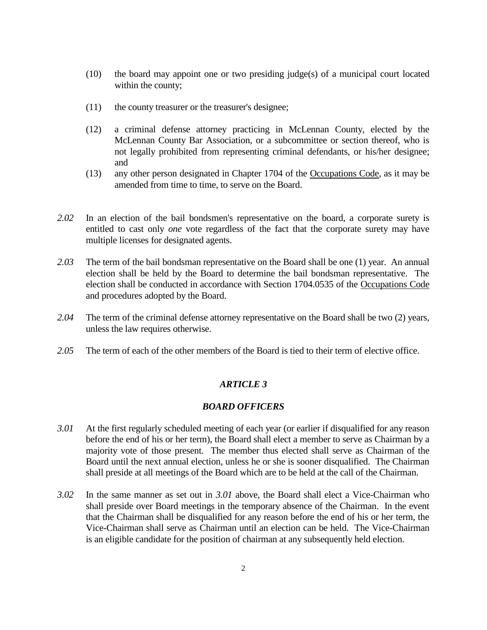- (10) the board may appoint one or two presiding judge(s) of a municipal court located within the county;
- (11) the county treasurer or the treasurer's designee;
- (12) a criminal defense attorney practicing in McLennan County, elected by the McLennan County Bar Association, or a subcommittee or section thereof, who is not legally prohibited from representing criminal defendants, or his/her designee; and
- (13) any other person designated in Chapter 1704 of the Occupations Code, as it may be amended from time to time, to serve on the Board.
- *2.02* In an election of the bail bondsmen's representative on the board, a corporate surety is entitled to cast only *one* vote regardless of the fact that the corporate surety may have multiple licenses for designated agents.
- *2.03* The term of the bail bondsman representative on the Board shall be one (1) year. An annual election shall be held by the Board to determine the bail bondsman representative. The election shall be conducted in accordance with Section 1704.0535 of the Occupations Code and procedures adopted by the Board.
- *2.04* The term of the criminal defense attorney representative on the Board shall be two (2) years, unless the law requires otherwise.
- *2.05* The term of each of the other members of the Board is tied to their term of elective office.

#### *BOARD OFFICERS*

- *3.01* At the first regularly scheduled meeting of each year (or earlier if disqualified for any reason before the end of his or her term), the Board shall elect a member to serve as Chairman by a majority vote of those present. The member thus elected shall serve as Chairman of the Board until the next annual election, unless he or she is sooner disqualified. The Chairman shall preside at all meetings of the Board which are to be held at the call of the Chairman.
- *3.02* In the same manner as set out in *3.01* above, the Board shall elect a Vice-Chairman who shall preside over Board meetings in the temporary absence of the Chairman. In the event that the Chairman shall be disqualified for any reason before the end of his or her term, the Vice-Chairman shall serve as Chairman until an election can be held. The Vice-Chairman is an eligible candidate for the position of chairman at any subsequently held election.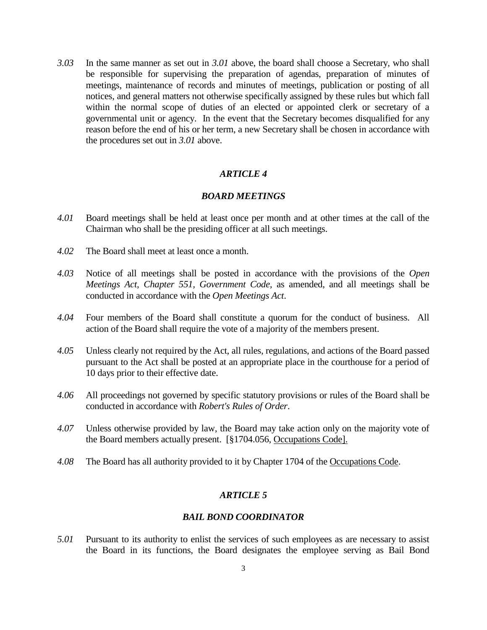*3.03* In the same manner as set out in *3.01* above, the board shall choose a Secretary, who shall be responsible for supervising the preparation of agendas, preparation of minutes of meetings, maintenance of records and minutes of meetings, publication or posting of all notices, and general matters not otherwise specifically assigned by these rules but which fall within the normal scope of duties of an elected or appointed clerk or secretary of a governmental unit or agency. In the event that the Secretary becomes disqualified for any reason before the end of his or her term, a new Secretary shall be chosen in accordance with the procedures set out in *3.01* above.

## *ARTICLE 4*

#### *BOARD MEETINGS*

- *4.01* Board meetings shall be held at least once per month and at other times at the call of the Chairman who shall be the presiding officer at all such meetings.
- *4.02* The Board shall meet at least once a month.
- *4.03* Notice of all meetings shall be posted in accordance with the provisions of the *Open Meetings Act, Chapter 551, Government Code,* as amended, and all meetings shall be conducted in accordance with the *Open Meetings Act*.
- *4.04* Four members of the Board shall constitute a quorum for the conduct of business. All action of the Board shall require the vote of a majority of the members present.
- *4.05* Unless clearly not required by the Act, all rules, regulations, and actions of the Board passed pursuant to the Act shall be posted at an appropriate place in the courthouse for a period of 10 days prior to their effective date.
- *4.06* All proceedings not governed by specific statutory provisions or rules of the Board shall be conducted in accordance with *Robert's Rules of Order*.
- *4.07* Unless otherwise provided by law, the Board may take action only on the majority vote of the Board members actually present. [§1704.056, Occupations Code].
- *4.08* The Board has all authority provided to it by Chapter 1704 of the Occupations Code.

#### *ARTICLE 5*

#### *BAIL BOND COORDINATOR*

*5.01* Pursuant to its authority to enlist the services of such employees as are necessary to assist the Board in its functions, the Board designates the employee serving as Bail Bond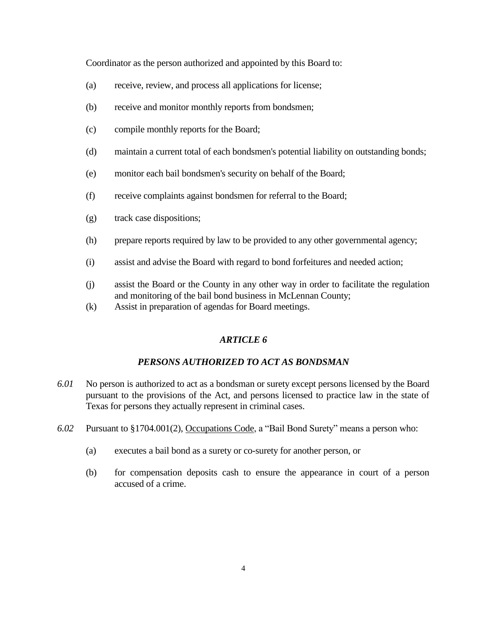Coordinator as the person authorized and appointed by this Board to:

- (a) receive, review, and process all applications for license;
- (b) receive and monitor monthly reports from bondsmen;
- (c) compile monthly reports for the Board;
- (d) maintain a current total of each bondsmen's potential liability on outstanding bonds;
- (e) monitor each bail bondsmen's security on behalf of the Board;
- (f) receive complaints against bondsmen for referral to the Board;
- (g) track case dispositions;
- (h) prepare reports required by law to be provided to any other governmental agency;
- (i) assist and advise the Board with regard to bond forfeitures and needed action;
- (j) assist the Board or the County in any other way in order to facilitate the regulation and monitoring of the bail bond business in McLennan County;
- (k) Assist in preparation of agendas for Board meetings.

# *ARTICLE 6*

# *PERSONS AUTHORIZED TO ACT AS BONDSMAN*

- *6.01* No person is authorized to act as a bondsman or surety except persons licensed by the Board pursuant to the provisions of the Act, and persons licensed to practice law in the state of Texas for persons they actually represent in criminal cases.
- *6.02* Pursuant to §1704.001(2), Occupations Code, a "Bail Bond Surety" means a person who:
	- (a) executes a bail bond as a surety or co-surety for another person, or
	- (b) for compensation deposits cash to ensure the appearance in court of a person accused of a crime.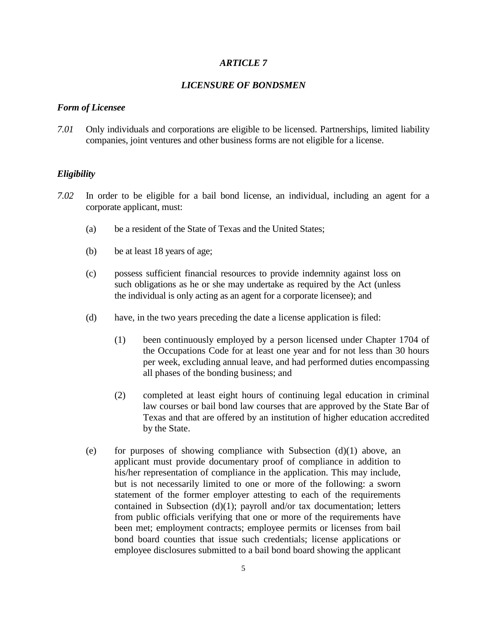# *LICENSURE OF BONDSMEN*

#### *Form of Licensee*

*7.01* Only individuals and corporations are eligible to be licensed. Partnerships, limited liability companies, joint ventures and other business forms are not eligible for a license.

#### *Eligibility*

- *7.02* In order to be eligible for a bail bond license, an individual, including an agent for a corporate applicant, must:
	- (a) be a resident of the State of Texas and the United States;
	- (b) be at least 18 years of age;
	- (c) possess sufficient financial resources to provide indemnity against loss on such obligations as he or she may undertake as required by the Act (unless the individual is only acting as an agent for a corporate licensee); and
	- (d) have, in the two years preceding the date a license application is filed:
		- (1) been continuously employed by a person licensed under Chapter 1704 of the Occupations Code for at least one year and for not less than 30 hours per week, excluding annual leave, and had performed duties encompassing all phases of the bonding business; and
		- (2) completed at least eight hours of continuing legal education in criminal law courses or bail bond law courses that are approved by the State Bar of Texas and that are offered by an institution of higher education accredited by the State.
	- (e) for purposes of showing compliance with Subsection  $(d)(1)$  above, an applicant must provide documentary proof of compliance in addition to his/her representation of compliance in the application. This may include, but is not necessarily limited to one or more of the following: a sworn statement of the former employer attesting to each of the requirements contained in Subsection (d)(1); payroll and/or tax documentation; letters from public officials verifying that one or more of the requirements have been met; employment contracts; employee permits or licenses from bail bond board counties that issue such credentials; license applications or employee disclosures submitted to a bail bond board showing the applicant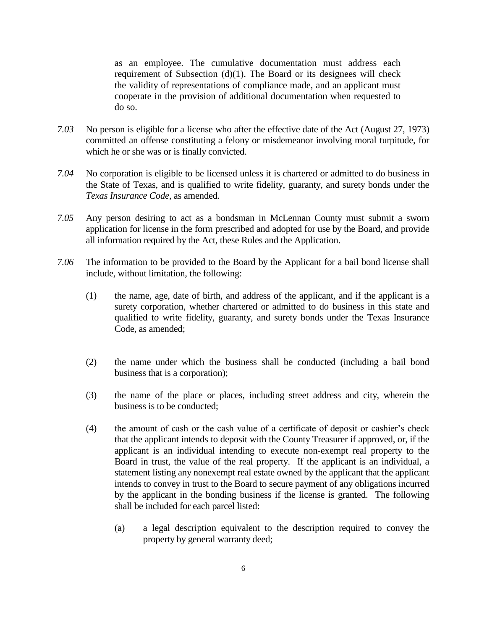as an employee. The cumulative documentation must address each requirement of Subsection (d)(1). The Board or its designees will check the validity of representations of compliance made, and an applicant must cooperate in the provision of additional documentation when requested to do so.

- *7.03* No person is eligible for a license who after the effective date of the Act (August 27, 1973) committed an offense constituting a felony or misdemeanor involving moral turpitude, for which he or she was or is finally convicted.
- *7.04* No corporation is eligible to be licensed unless it is chartered or admitted to do business in the State of Texas, and is qualified to write fidelity, guaranty, and surety bonds under the *Texas Insurance Code*, as amended.
- *7.05* Any person desiring to act as a bondsman in McLennan County must submit a sworn application for license in the form prescribed and adopted for use by the Board, and provide all information required by the Act, these Rules and the Application.
- *7.06* The information to be provided to the Board by the Applicant for a bail bond license shall include, without limitation, the following:
	- (1) the name, age, date of birth, and address of the applicant, and if the applicant is a surety corporation, whether chartered or admitted to do business in this state and qualified to write fidelity, guaranty, and surety bonds under the Texas Insurance Code, as amended;
	- (2) the name under which the business shall be conducted (including a bail bond business that is a corporation);
	- (3) the name of the place or places, including street address and city, wherein the business is to be conducted;
	- (4) the amount of cash or the cash value of a certificate of deposit or cashier's check that the applicant intends to deposit with the County Treasurer if approved, or, if the applicant is an individual intending to execute non-exempt real property to the Board in trust, the value of the real property. If the applicant is an individual, a statement listing any nonexempt real estate owned by the applicant that the applicant intends to convey in trust to the Board to secure payment of any obligations incurred by the applicant in the bonding business if the license is granted. The following shall be included for each parcel listed:
		- (a) a legal description equivalent to the description required to convey the property by general warranty deed;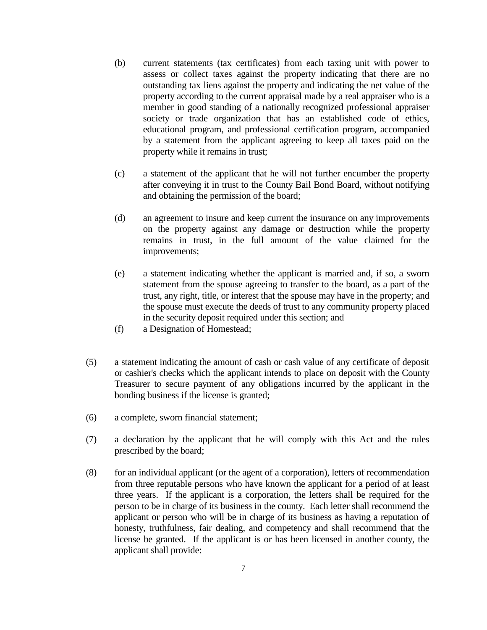- (b) current statements (tax certificates) from each taxing unit with power to assess or collect taxes against the property indicating that there are no outstanding tax liens against the property and indicating the net value of the property according to the current appraisal made by a real appraiser who is a member in good standing of a nationally recognized professional appraiser society or trade organization that has an established code of ethics, educational program, and professional certification program, accompanied by a statement from the applicant agreeing to keep all taxes paid on the property while it remains in trust;
- (c) a statement of the applicant that he will not further encumber the property after conveying it in trust to the County Bail Bond Board, without notifying and obtaining the permission of the board;
- (d) an agreement to insure and keep current the insurance on any improvements on the property against any damage or destruction while the property remains in trust, in the full amount of the value claimed for the improvements;
- (e) a statement indicating whether the applicant is married and, if so, a sworn statement from the spouse agreeing to transfer to the board, as a part of the trust, any right, title, or interest that the spouse may have in the property; and the spouse must execute the deeds of trust to any community property placed in the security deposit required under this section; and
- (f) a Designation of Homestead;
- (5) a statement indicating the amount of cash or cash value of any certificate of deposit or cashier's checks which the applicant intends to place on deposit with the County Treasurer to secure payment of any obligations incurred by the applicant in the bonding business if the license is granted;
- (6) a complete, sworn financial statement;
- (7) a declaration by the applicant that he will comply with this Act and the rules prescribed by the board;
- (8) for an individual applicant (or the agent of a corporation), letters of recommendation from three reputable persons who have known the applicant for a period of at least three years. If the applicant is a corporation, the letters shall be required for the person to be in charge of its business in the county. Each letter shall recommend the applicant or person who will be in charge of its business as having a reputation of honesty, truthfulness, fair dealing, and competency and shall recommend that the license be granted. If the applicant is or has been licensed in another county, the applicant shall provide: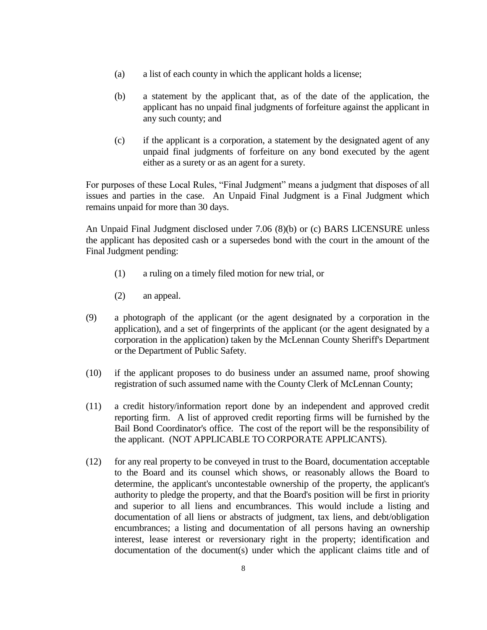- (a) a list of each county in which the applicant holds a license;
- (b) a statement by the applicant that, as of the date of the application, the applicant has no unpaid final judgments of forfeiture against the applicant in any such county; and
- (c) if the applicant is a corporation, a statement by the designated agent of any unpaid final judgments of forfeiture on any bond executed by the agent either as a surety or as an agent for a surety.

For purposes of these Local Rules, "Final Judgment" means a judgment that disposes of all issues and parties in the case. An Unpaid Final Judgment is a Final Judgment which remains unpaid for more than 30 days.

An Unpaid Final Judgment disclosed under 7.06 (8)(b) or (c) BARS LICENSURE unless the applicant has deposited cash or a supersedes bond with the court in the amount of the Final Judgment pending:

- (1) a ruling on a timely filed motion for new trial, or
- (2) an appeal.
- (9) a photograph of the applicant (or the agent designated by a corporation in the application), and a set of fingerprints of the applicant (or the agent designated by a corporation in the application) taken by the McLennan County Sheriff's Department or the Department of Public Safety.
- (10) if the applicant proposes to do business under an assumed name, proof showing registration of such assumed name with the County Clerk of McLennan County;
- (11) a credit history/information report done by an independent and approved credit reporting firm. A list of approved credit reporting firms will be furnished by the Bail Bond Coordinator's office. The cost of the report will be the responsibility of the applicant. (NOT APPLICABLE TO CORPORATE APPLICANTS).
- (12) for any real property to be conveyed in trust to the Board, documentation acceptable to the Board and its counsel which shows, or reasonably allows the Board to determine, the applicant's uncontestable ownership of the property, the applicant's authority to pledge the property, and that the Board's position will be first in priority and superior to all liens and encumbrances. This would include a listing and documentation of all liens or abstracts of judgment, tax liens, and debt/obligation encumbrances; a listing and documentation of all persons having an ownership interest, lease interest or reversionary right in the property; identification and documentation of the document(s) under which the applicant claims title and of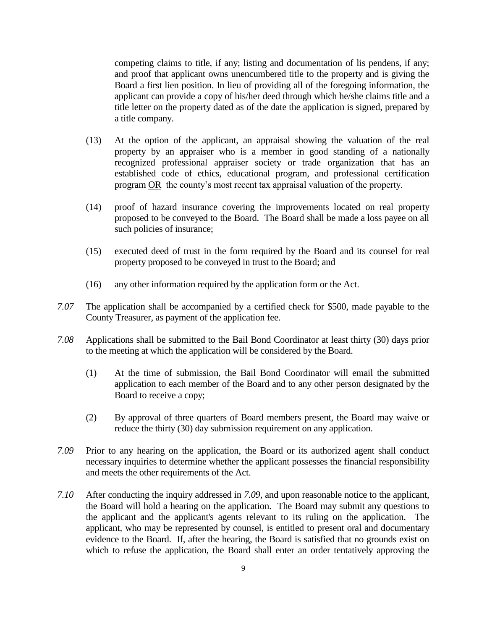competing claims to title, if any; listing and documentation of lis pendens, if any; and proof that applicant owns unencumbered title to the property and is giving the Board a first lien position. In lieu of providing all of the foregoing information, the applicant can provide a copy of his/her deed through which he/she claims title and a title letter on the property dated as of the date the application is signed, prepared by a title company.

- (13) At the option of the applicant, an appraisal showing the valuation of the real property by an appraiser who is a member in good standing of a nationally recognized professional appraiser society or trade organization that has an established code of ethics, educational program, and professional certification program OR the county's most recent tax appraisal valuation of the property.
- (14) proof of hazard insurance covering the improvements located on real property proposed to be conveyed to the Board. The Board shall be made a loss payee on all such policies of insurance;
- (15) executed deed of trust in the form required by the Board and its counsel for real property proposed to be conveyed in trust to the Board; and
- (16) any other information required by the application form or the Act.
- *7.07* The application shall be accompanied by a certified check for \$500, made payable to the County Treasurer, as payment of the application fee.
- *7.08* Applications shall be submitted to the Bail Bond Coordinator at least thirty (30) days prior to the meeting at which the application will be considered by the Board.
	- (1) At the time of submission, the Bail Bond Coordinator will email the submitted application to each member of the Board and to any other person designated by the Board to receive a copy;
	- (2) By approval of three quarters of Board members present, the Board may waive or reduce the thirty (30) day submission requirement on any application.
- *7.09* Prior to any hearing on the application, the Board or its authorized agent shall conduct necessary inquiries to determine whether the applicant possesses the financial responsibility and meets the other requirements of the Act.
- *7.10* After conducting the inquiry addressed in *7.09*, and upon reasonable notice to the applicant, the Board will hold a hearing on the application. The Board may submit any questions to the applicant and the applicant's agents relevant to its ruling on the application. The applicant, who may be represented by counsel, is entitled to present oral and documentary evidence to the Board. If, after the hearing, the Board is satisfied that no grounds exist on which to refuse the application, the Board shall enter an order tentatively approving the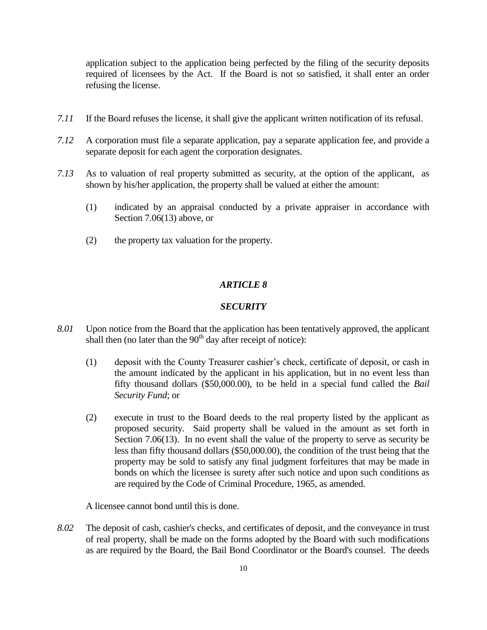application subject to the application being perfected by the filing of the security deposits required of licensees by the Act. If the Board is not so satisfied, it shall enter an order refusing the license.

- *7.11* If the Board refuses the license, it shall give the applicant written notification of its refusal.
- *7.12* A corporation must file a separate application, pay a separate application fee, and provide a separate deposit for each agent the corporation designates.
- *7.13* As to valuation of real property submitted as security, at the option of the applicant, as shown by his/her application, the property shall be valued at either the amount:
	- (1) indicated by an appraisal conducted by a private appraiser in accordance with Section 7.06(13) above, or
	- (2) the property tax valuation for the property.

## *ARTICLE 8*

#### *SECURITY*

- *8.01* Upon notice from the Board that the application has been tentatively approved, the applicant shall then (no later than the  $90<sup>th</sup>$  day after receipt of notice):
	- (1) deposit with the County Treasurer cashier's check, certificate of deposit, or cash in the amount indicated by the applicant in his application, but in no event less than fifty thousand dollars (\$50,000.00), to be held in a special fund called the *Bail Security Fund*; or
	- (2) execute in trust to the Board deeds to the real property listed by the applicant as proposed security. Said property shall be valued in the amount as set forth in Section 7.06(13). In no event shall the value of the property to serve as security be less than fifty thousand dollars (\$50,000.00), the condition of the trust being that the property may be sold to satisfy any final judgment forfeitures that may be made in bonds on which the licensee is surety after such notice and upon such conditions as are required by the Code of Criminal Procedure, 1965, as amended.

A licensee cannot bond until this is done.

*8.02* The deposit of cash, cashier's checks, and certificates of deposit, and the conveyance in trust of real property, shall be made on the forms adopted by the Board with such modifications as are required by the Board, the Bail Bond Coordinator or the Board's counsel. The deeds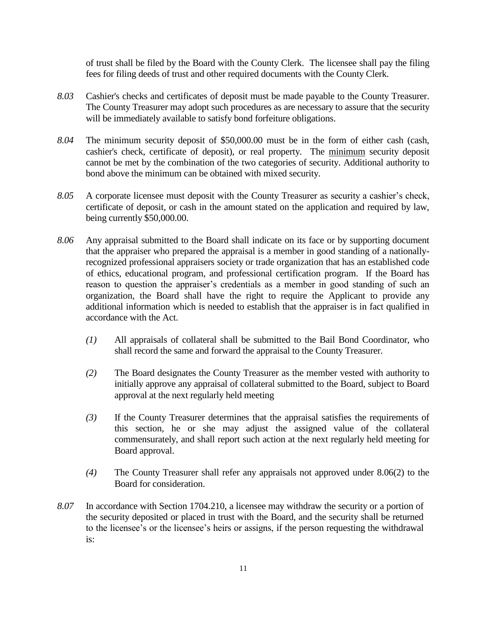of trust shall be filed by the Board with the County Clerk. The licensee shall pay the filing fees for filing deeds of trust and other required documents with the County Clerk.

- *8.03* Cashier's checks and certificates of deposit must be made payable to the County Treasurer. The County Treasurer may adopt such procedures as are necessary to assure that the security will be immediately available to satisfy bond forfeiture obligations.
- *8.04* The minimum security deposit of \$50,000.00 must be in the form of either cash (cash, cashier's check, certificate of deposit), or real property. The minimum security deposit cannot be met by the combination of the two categories of security. Additional authority to bond above the minimum can be obtained with mixed security.
- *8.05* A corporate licensee must deposit with the County Treasurer as security a cashier's check, certificate of deposit, or cash in the amount stated on the application and required by law, being currently \$50,000.00.
- *8.06* Any appraisal submitted to the Board shall indicate on its face or by supporting document that the appraiser who prepared the appraisal is a member in good standing of a nationallyrecognized professional appraisers society or trade organization that has an established code of ethics, educational program, and professional certification program. If the Board has reason to question the appraiser's credentials as a member in good standing of such an organization, the Board shall have the right to require the Applicant to provide any additional information which is needed to establish that the appraiser is in fact qualified in accordance with the Act.
	- *(1)* All appraisals of collateral shall be submitted to the Bail Bond Coordinator, who shall record the same and forward the appraisal to the County Treasurer.
	- *(2)* The Board designates the County Treasurer as the member vested with authority to initially approve any appraisal of collateral submitted to the Board, subject to Board approval at the next regularly held meeting
	- *(3)* If the County Treasurer determines that the appraisal satisfies the requirements of this section, he or she may adjust the assigned value of the collateral commensurately, and shall report such action at the next regularly held meeting for Board approval.
	- *(4)* The County Treasurer shall refer any appraisals not approved under 8.06(2) to the Board for consideration.
- *8.07* In accordance with Section 1704.210, a licensee may withdraw the security or a portion of the security deposited or placed in trust with the Board, and the security shall be returned to the licensee's or the licensee's heirs or assigns, if the person requesting the withdrawal is: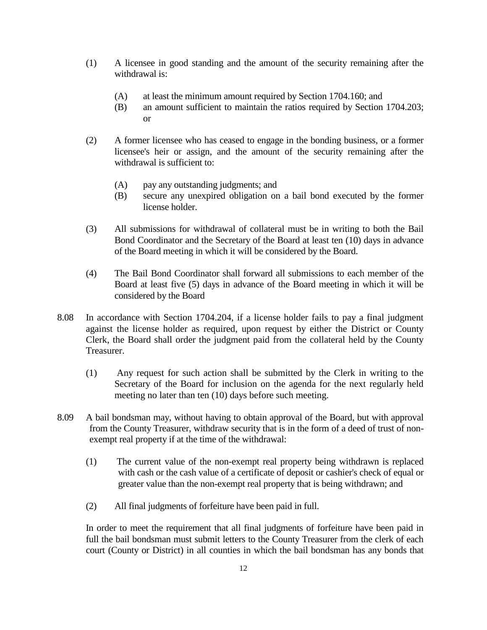- (1) A licensee in good standing and the amount of the security remaining after the withdrawal is:
	- (A) at least the minimum amount required by Section 1704.160; and
	- (B) an amount sufficient to maintain the ratios required by Section 1704.203; or
- (2) A former licensee who has ceased to engage in the bonding business, or a former licensee's heir or assign, and the amount of the security remaining after the withdrawal is sufficient to:
	- (A) pay any outstanding judgments; and
	- (B) secure any unexpired obligation on a bail bond executed by the former license holder.
- (3) All submissions for withdrawal of collateral must be in writing to both the Bail Bond Coordinator and the Secretary of the Board at least ten (10) days in advance of the Board meeting in which it will be considered by the Board.
- (4) The Bail Bond Coordinator shall forward all submissions to each member of the Board at least five (5) days in advance of the Board meeting in which it will be considered by the Board
- 8.08 In accordance with Section 1704.204, if a license holder fails to pay a final judgment against the license holder as required, upon request by either the District or County Clerk, the Board shall order the judgment paid from the collateral held by the County Treasurer.
	- (1) Any request for such action shall be submitted by the Clerk in writing to the Secretary of the Board for inclusion on the agenda for the next regularly held meeting no later than ten (10) days before such meeting.
- 8.09 A bail bondsman may, without having to obtain approval of the Board, but with approval from the County Treasurer, withdraw security that is in the form of a deed of trust of nonexempt real property if at the time of the withdrawal:
	- (1) The current value of the non-exempt real property being withdrawn is replaced with cash or the cash value of a certificate of deposit or cashier's check of equal or greater value than the non-exempt real property that is being withdrawn; and
	- (2) All final judgments of forfeiture have been paid in full.

In order to meet the requirement that all final judgments of forfeiture have been paid in full the bail bondsman must submit letters to the County Treasurer from the clerk of each court (County or District) in all counties in which the bail bondsman has any bonds that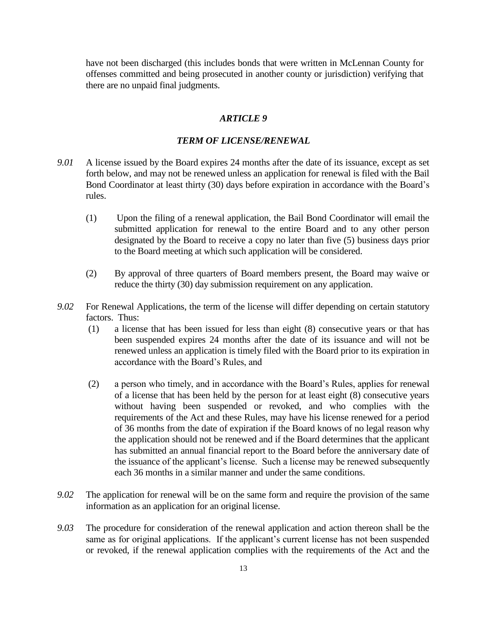have not been discharged (this includes bonds that were written in McLennan County for offenses committed and being prosecuted in another county or jurisdiction) verifying that there are no unpaid final judgments.

# *ARTICLE 9*

#### *TERM OF LICENSE/RENEWAL*

- *9.01* A license issued by the Board expires 24 months after the date of its issuance, except as set forth below, and may not be renewed unless an application for renewal is filed with the Bail Bond Coordinator at least thirty (30) days before expiration in accordance with the Board's rules.
	- (1) Upon the filing of a renewal application, the Bail Bond Coordinator will email the submitted application for renewal to the entire Board and to any other person designated by the Board to receive a copy no later than five (5) business days prior to the Board meeting at which such application will be considered.
	- (2) By approval of three quarters of Board members present, the Board may waive or reduce the thirty (30) day submission requirement on any application.
- *9.02* For Renewal Applications, the term of the license will differ depending on certain statutory factors. Thus:
	- (1) a license that has been issued for less than eight (8) consecutive years or that has been suspended expires 24 months after the date of its issuance and will not be renewed unless an application is timely filed with the Board prior to its expiration in accordance with the Board's Rules, and
	- (2) a person who timely, and in accordance with the Board's Rules, applies for renewal of a license that has been held by the person for at least eight (8) consecutive years without having been suspended or revoked, and who complies with the requirements of the Act and these Rules, may have his license renewed for a period of 36 months from the date of expiration if the Board knows of no legal reason why the application should not be renewed and if the Board determines that the applicant has submitted an annual financial report to the Board before the anniversary date of the issuance of the applicant's license. Such a license may be renewed subsequently each 36 months in a similar manner and under the same conditions.
- *9.02* The application for renewal will be on the same form and require the provision of the same information as an application for an original license.
- *9.03* The procedure for consideration of the renewal application and action thereon shall be the same as for original applications. If the applicant's current license has not been suspended or revoked, if the renewal application complies with the requirements of the Act and the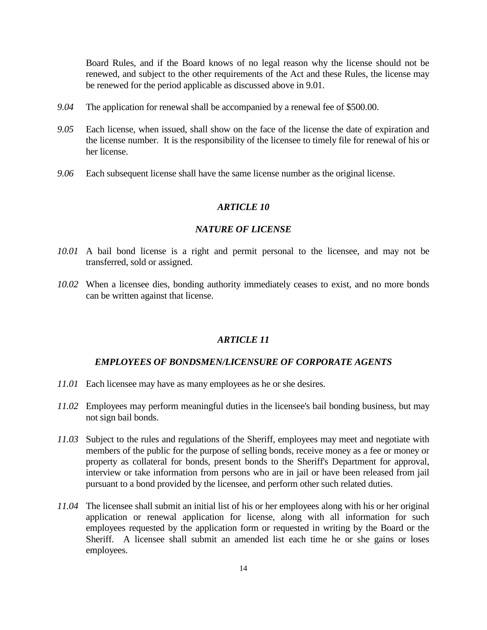Board Rules, and if the Board knows of no legal reason why the license should not be renewed, and subject to the other requirements of the Act and these Rules, the license may be renewed for the period applicable as discussed above in 9.01.

- *9.04* The application for renewal shall be accompanied by a renewal fee of \$500.00.
- *9.05* Each license, when issued, shall show on the face of the license the date of expiration and the license number. It is the responsibility of the licensee to timely file for renewal of his or her license.
- *9.06* Each subsequent license shall have the same license number as the original license.

# *ARTICLE 10*

#### *NATURE OF LICENSE*

- *10.01* A bail bond license is a right and permit personal to the licensee, and may not be transferred, sold or assigned.
- *10.02* When a licensee dies, bonding authority immediately ceases to exist, and no more bonds can be written against that license.

#### *ARTICLE 11*

#### *EMPLOYEES OF BONDSMEN/LICENSURE OF CORPORATE AGENTS*

- *11.01* Each licensee may have as many employees as he or she desires.
- *11.02* Employees may perform meaningful duties in the licensee's bail bonding business, but may not sign bail bonds.
- *11.03* Subject to the rules and regulations of the Sheriff, employees may meet and negotiate with members of the public for the purpose of selling bonds, receive money as a fee or money or property as collateral for bonds, present bonds to the Sheriff's Department for approval, interview or take information from persons who are in jail or have been released from jail pursuant to a bond provided by the licensee, and perform other such related duties.
- *11.04* The licensee shall submit an initial list of his or her employees along with his or her original application or renewal application for license, along with all information for such employees requested by the application form or requested in writing by the Board or the Sheriff. A licensee shall submit an amended list each time he or she gains or loses employees.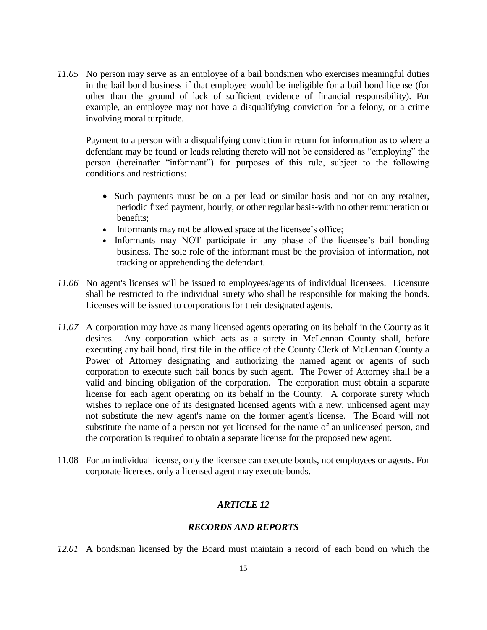*11.05* No person may serve as an employee of a bail bondsmen who exercises meaningful duties in the bail bond business if that employee would be ineligible for a bail bond license (for other than the ground of lack of sufficient evidence of financial responsibility). For example, an employee may not have a disqualifying conviction for a felony, or a crime involving moral turpitude.

Payment to a person with a disqualifying conviction in return for information as to where a defendant may be found or leads relating thereto will not be considered as "employing" the person (hereinafter "informant") for purposes of this rule, subject to the following conditions and restrictions:

- Such payments must be on a per lead or similar basis and not on any retainer, periodic fixed payment, hourly, or other regular basis-with no other remuneration or benefits;
- Informants may not be allowed space at the licensee's office;
- Informants may NOT participate in any phase of the licensee's bail bonding business. The sole role of the informant must be the provision of information, not tracking or apprehending the defendant.
- *11.06* No agent's licenses will be issued to employees/agents of individual licensees. Licensure shall be restricted to the individual surety who shall be responsible for making the bonds. Licenses will be issued to corporations for their designated agents.
- *11.07* A corporation may have as many licensed agents operating on its behalf in the County as it desires. Any corporation which acts as a surety in McLennan County shall, before executing any bail bond, first file in the office of the County Clerk of McLennan County a Power of Attorney designating and authorizing the named agent or agents of such corporation to execute such bail bonds by such agent. The Power of Attorney shall be a valid and binding obligation of the corporation. The corporation must obtain a separate license for each agent operating on its behalf in the County. A corporate surety which wishes to replace one of its designated licensed agents with a new, unlicensed agent may not substitute the new agent's name on the former agent's license. The Board will not substitute the name of a person not yet licensed for the name of an unlicensed person, and the corporation is required to obtain a separate license for the proposed new agent.
- 11.08 For an individual license, only the licensee can execute bonds, not employees or agents. For corporate licenses, only a licensed agent may execute bonds.

# *ARTICLE 12*

# *RECORDS AND REPORTS*

*12.01* A bondsman licensed by the Board must maintain a record of each bond on which the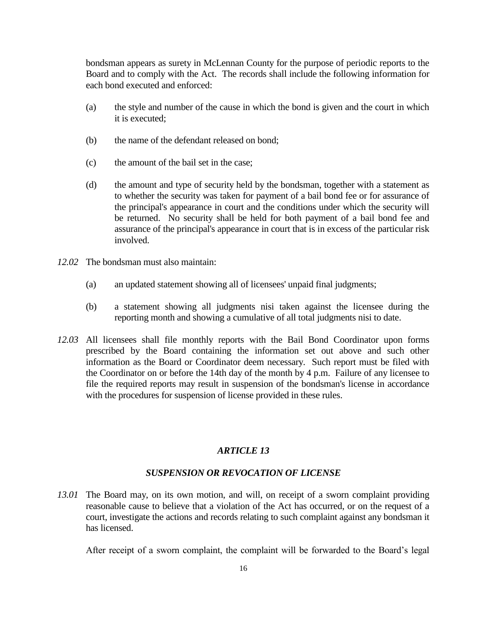bondsman appears as surety in McLennan County for the purpose of periodic reports to the Board and to comply with the Act. The records shall include the following information for each bond executed and enforced:

- (a) the style and number of the cause in which the bond is given and the court in which it is executed;
- (b) the name of the defendant released on bond;
- (c) the amount of the bail set in the case;
- (d) the amount and type of security held by the bondsman, together with a statement as to whether the security was taken for payment of a bail bond fee or for assurance of the principal's appearance in court and the conditions under which the security will be returned. No security shall be held for both payment of a bail bond fee and assurance of the principal's appearance in court that is in excess of the particular risk involved.
- *12.02* The bondsman must also maintain:
	- (a) an updated statement showing all of licensees' unpaid final judgments;
	- (b) a statement showing all judgments nisi taken against the licensee during the reporting month and showing a cumulative of all total judgments nisi to date.
- *12.03* All licensees shall file monthly reports with the Bail Bond Coordinator upon forms prescribed by the Board containing the information set out above and such other information as the Board or Coordinator deem necessary. Such report must be filed with the Coordinator on or before the 14th day of the month by 4 p.m. Failure of any licensee to file the required reports may result in suspension of the bondsman's license in accordance with the procedures for suspension of license provided in these rules.

#### *ARTICLE 13*

#### *SUSPENSION OR REVOCATION OF LICENSE*

*13.01* The Board may, on its own motion, and will, on receipt of a sworn complaint providing reasonable cause to believe that a violation of the Act has occurred, or on the request of a court, investigate the actions and records relating to such complaint against any bondsman it has licensed.

After receipt of a sworn complaint, the complaint will be forwarded to the Board's legal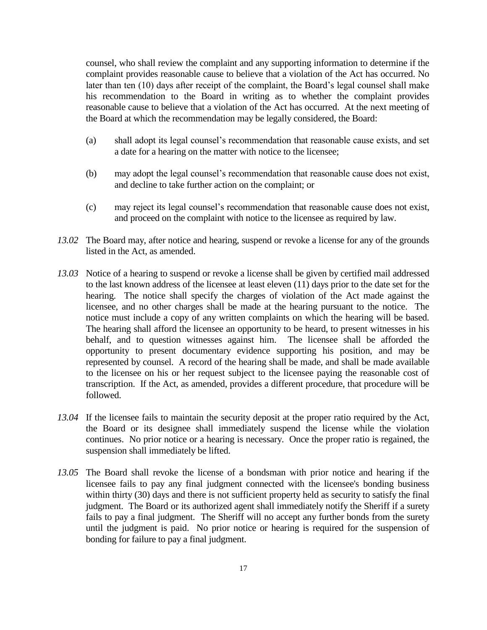counsel, who shall review the complaint and any supporting information to determine if the complaint provides reasonable cause to believe that a violation of the Act has occurred. No later than ten (10) days after receipt of the complaint, the Board's legal counsel shall make his recommendation to the Board in writing as to whether the complaint provides reasonable cause to believe that a violation of the Act has occurred. At the next meeting of the Board at which the recommendation may be legally considered, the Board:

- (a) shall adopt its legal counsel's recommendation that reasonable cause exists, and set a date for a hearing on the matter with notice to the licensee;
- (b) may adopt the legal counsel's recommendation that reasonable cause does not exist, and decline to take further action on the complaint; or
- (c) may reject its legal counsel's recommendation that reasonable cause does not exist, and proceed on the complaint with notice to the licensee as required by law.
- *13.02* The Board may, after notice and hearing, suspend or revoke a license for any of the grounds listed in the Act, as amended.
- *13.03* Notice of a hearing to suspend or revoke a license shall be given by certified mail addressed to the last known address of the licensee at least eleven (11) days prior to the date set for the hearing. The notice shall specify the charges of violation of the Act made against the licensee, and no other charges shall be made at the hearing pursuant to the notice. The notice must include a copy of any written complaints on which the hearing will be based. The hearing shall afford the licensee an opportunity to be heard, to present witnesses in his behalf, and to question witnesses against him. The licensee shall be afforded the opportunity to present documentary evidence supporting his position, and may be represented by counsel. A record of the hearing shall be made, and shall be made available to the licensee on his or her request subject to the licensee paying the reasonable cost of transcription. If the Act, as amended, provides a different procedure, that procedure will be followed.
- *13.04* If the licensee fails to maintain the security deposit at the proper ratio required by the Act, the Board or its designee shall immediately suspend the license while the violation continues. No prior notice or a hearing is necessary. Once the proper ratio is regained, the suspension shall immediately be lifted.
- *13.05* The Board shall revoke the license of a bondsman with prior notice and hearing if the licensee fails to pay any final judgment connected with the licensee's bonding business within thirty (30) days and there is not sufficient property held as security to satisfy the final judgment. The Board or its authorized agent shall immediately notify the Sheriff if a surety fails to pay a final judgment. The Sheriff will no accept any further bonds from the surety until the judgment is paid. No prior notice or hearing is required for the suspension of bonding for failure to pay a final judgment.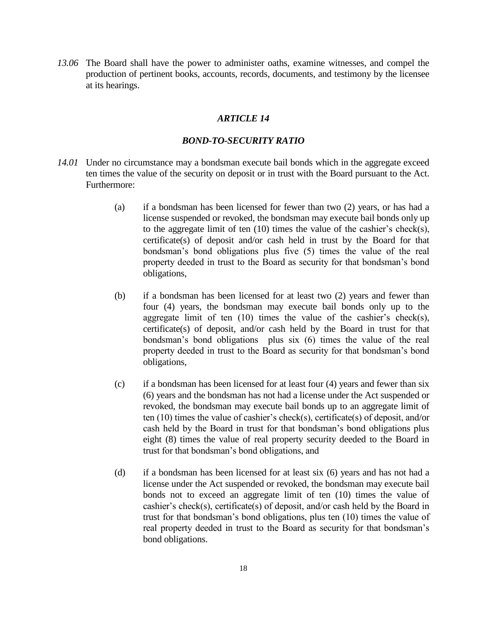*13.06* The Board shall have the power to administer oaths, examine witnesses, and compel the production of pertinent books, accounts, records, documents, and testimony by the licensee at its hearings.

# *ARTICLE 14*

#### *BOND-TO-SECURITY RATIO*

- *14.01* Under no circumstance may a bondsman execute bail bonds which in the aggregate exceed ten times the value of the security on deposit or in trust with the Board pursuant to the Act. Furthermore:
	- (a) if a bondsman has been licensed for fewer than two (2) years, or has had a license suspended or revoked, the bondsman may execute bail bonds only up to the aggregate limit of ten (10) times the value of the cashier's check(s), certificate(s) of deposit and/or cash held in trust by the Board for that bondsman's bond obligations plus five (5) times the value of the real property deeded in trust to the Board as security for that bondsman's bond obligations,
	- (b) if a bondsman has been licensed for at least two (2) years and fewer than four (4) years, the bondsman may execute bail bonds only up to the aggregate limit of ten  $(10)$  times the value of the cashier's check(s), certificate(s) of deposit, and/or cash held by the Board in trust for that bondsman's bond obligations plus six (6) times the value of the real property deeded in trust to the Board as security for that bondsman's bond obligations,
	- (c) if a bondsman has been licensed for at least four (4) years and fewer than six (6) years and the bondsman has not had a license under the Act suspended or revoked, the bondsman may execute bail bonds up to an aggregate limit of ten (10) times the value of cashier's check(s), certificate(s) of deposit, and/or cash held by the Board in trust for that bondsman's bond obligations plus eight (8) times the value of real property security deeded to the Board in trust for that bondsman's bond obligations, and
	- (d) if a bondsman has been licensed for at least six (6) years and has not had a license under the Act suspended or revoked, the bondsman may execute bail bonds not to exceed an aggregate limit of ten (10) times the value of cashier's check(s), certificate(s) of deposit, and/or cash held by the Board in trust for that bondsman's bond obligations, plus ten (10) times the value of real property deeded in trust to the Board as security for that bondsman's bond obligations.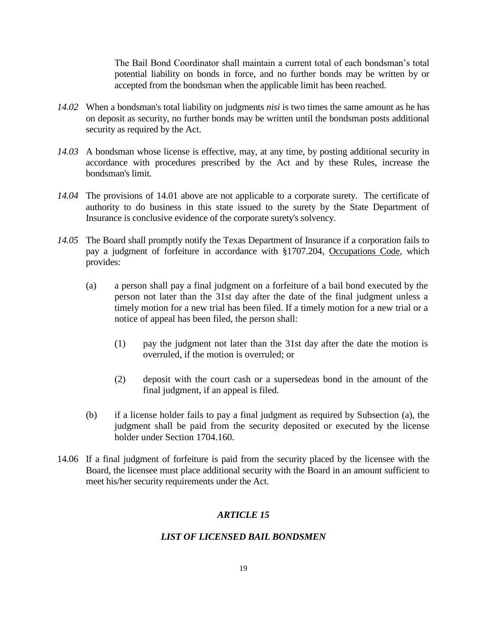The Bail Bond Coordinator shall maintain a current total of each bondsman's total potential liability on bonds in force, and no further bonds may be written by or accepted from the bondsman when the applicable limit has been reached.

- *14.02* When a bondsman's total liability on judgments *nisi* is two times the same amount as he has on deposit as security, no further bonds may be written until the bondsman posts additional security as required by the Act.
- *14.03* A bondsman whose license is effective, may, at any time, by posting additional security in accordance with procedures prescribed by the Act and by these Rules, increase the bondsman's limit.
- *14.04* The provisions of 14.01 above are not applicable to a corporate surety. The certificate of authority to do business in this state issued to the surety by the State Department of Insurance is conclusive evidence of the corporate surety's solvency.
- *14.05* The Board shall promptly notify the Texas Department of Insurance if a corporation fails to pay a judgment of forfeiture in accordance with §1707.204, Occupations Code, which provides:
	- (a) a person shall pay a final judgment on a forfeiture of a bail bond executed by the person not later than the 31st day after the date of the final judgment unless a timely motion for a new trial has been filed. If a timely motion for a new trial or a notice of appeal has been filed, the person shall:
		- (1) pay the judgment not later than the 31st day after the date the motion is overruled, if the motion is overruled; or
		- (2) deposit with the court cash or a supersedeas bond in the amount of the final judgment, if an appeal is filed.
	- (b) if a license holder fails to pay a final judgment as required by Subsection (a), the judgment shall be paid from the security deposited or executed by the license holder under Section 1704.160.
- 14.06 If a final judgment of forfeiture is paid from the security placed by the licensee with the Board, the licensee must place additional security with the Board in an amount sufficient to meet his/her security requirements under the Act.

# *ARTICLE 15*

#### *LIST OF LICENSED BAIL BONDSMEN*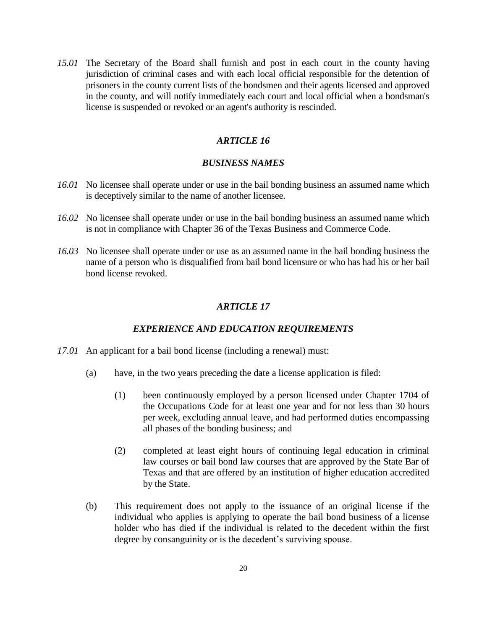*15.01* The Secretary of the Board shall furnish and post in each court in the county having jurisdiction of criminal cases and with each local official responsible for the detention of prisoners in the county current lists of the bondsmen and their agents licensed and approved in the county, and will notify immediately each court and local official when a bondsman's license is suspended or revoked or an agent's authority is rescinded.

# *ARTICLE 16*

# *BUSINESS NAMES*

- *16.01* No licensee shall operate under or use in the bail bonding business an assumed name which is deceptively similar to the name of another licensee.
- *16.02* No licensee shall operate under or use in the bail bonding business an assumed name which is not in compliance with Chapter 36 of the Texas Business and Commerce Code.
- *16.03* No licensee shall operate under or use as an assumed name in the bail bonding business the name of a person who is disqualified from bail bond licensure or who has had his or her bail bond license revoked.

#### *ARTICLE 17*

#### *EXPERIENCE AND EDUCATION REQUIREMENTS*

- *17.01* An applicant for a bail bond license (including a renewal) must:
	- (a) have, in the two years preceding the date a license application is filed:
		- (1) been continuously employed by a person licensed under Chapter 1704 of the Occupations Code for at least one year and for not less than 30 hours per week, excluding annual leave, and had performed duties encompassing all phases of the bonding business; and
		- (2) completed at least eight hours of continuing legal education in criminal law courses or bail bond law courses that are approved by the State Bar of Texas and that are offered by an institution of higher education accredited by the State.
	- (b) This requirement does not apply to the issuance of an original license if the individual who applies is applying to operate the bail bond business of a license holder who has died if the individual is related to the decedent within the first degree by consanguinity or is the decedent's surviving spouse.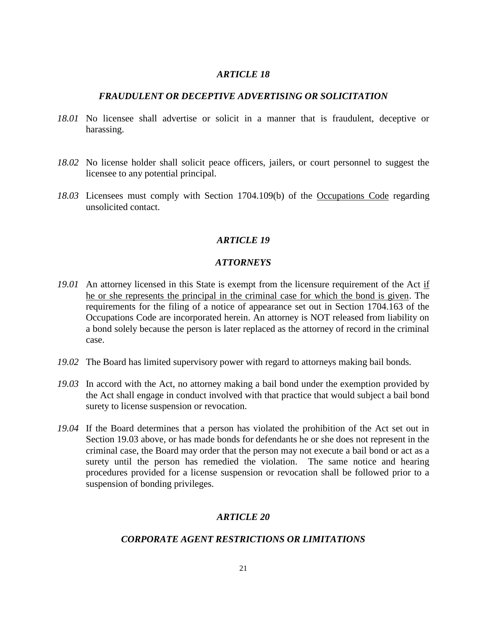# *FRAUDULENT OR DECEPTIVE ADVERTISING OR SOLICITATION*

- *18.01* No licensee shall advertise or solicit in a manner that is fraudulent, deceptive or harassing.
- *18.02* No license holder shall solicit peace officers, jailers, or court personnel to suggest the licensee to any potential principal.
- *18.03* Licensees must comply with Section 1704.109(b) of the Occupations Code regarding unsolicited contact.

## *ARTICLE 19*

# *ATTORNEYS*

- *19.01* An attorney licensed in this State is exempt from the licensure requirement of the Act if he or she represents the principal in the criminal case for which the bond is given. The requirements for the filing of a notice of appearance set out in Section 1704.163 of the Occupations Code are incorporated herein. An attorney is NOT released from liability on a bond solely because the person is later replaced as the attorney of record in the criminal case.
- *19.02* The Board has limited supervisory power with regard to attorneys making bail bonds.
- *19.03* In accord with the Act, no attorney making a bail bond under the exemption provided by the Act shall engage in conduct involved with that practice that would subject a bail bond surety to license suspension or revocation.
- *19.04* If the Board determines that a person has violated the prohibition of the Act set out in Section 19.03 above, or has made bonds for defendants he or she does not represent in the criminal case, the Board may order that the person may not execute a bail bond or act as a surety until the person has remedied the violation. The same notice and hearing procedures provided for a license suspension or revocation shall be followed prior to a suspension of bonding privileges.

# *ARTICLE 20*

# *CORPORATE AGENT RESTRICTIONS OR LIMITATIONS*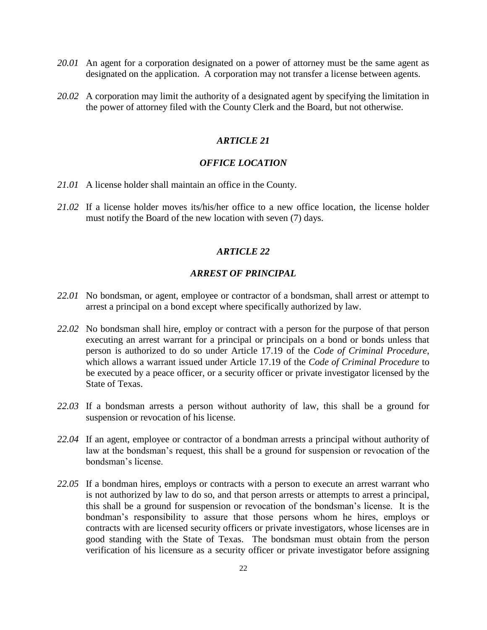- *20.01* An agent for a corporation designated on a power of attorney must be the same agent as designated on the application. A corporation may not transfer a license between agents.
- *20.02* A corporation may limit the authority of a designated agent by specifying the limitation in the power of attorney filed with the County Clerk and the Board, but not otherwise.

# *OFFICE LOCATION*

- *21.01* A license holder shall maintain an office in the County.
- *21.02* If a license holder moves its/his/her office to a new office location, the license holder must notify the Board of the new location with seven (7) days.

#### *ARTICLE 22*

#### *ARREST OF PRINCIPAL*

- *22.01* No bondsman, or agent, employee or contractor of a bondsman, shall arrest or attempt to arrest a principal on a bond except where specifically authorized by law.
- *22.02* No bondsman shall hire, employ or contract with a person for the purpose of that person executing an arrest warrant for a principal or principals on a bond or bonds unless that person is authorized to do so under Article 17.19 of the *Code of Criminal Procedure*, which allows a warrant issued under Article 17.19 of the *Code of Criminal Procedure* to be executed by a peace officer, or a security officer or private investigator licensed by the State of Texas.
- *22.03* If a bondsman arrests a person without authority of law, this shall be a ground for suspension or revocation of his license.
- *22.04* If an agent, employee or contractor of a bondman arrests a principal without authority of law at the bondsman's request, this shall be a ground for suspension or revocation of the bondsman's license.
- *22.05* If a bondman hires, employs or contracts with a person to execute an arrest warrant who is not authorized by law to do so, and that person arrests or attempts to arrest a principal, this shall be a ground for suspension or revocation of the bondsman's license. It is the bondman's responsibility to assure that those persons whom he hires, employs or contracts with are licensed security officers or private investigators, whose licenses are in good standing with the State of Texas. The bondsman must obtain from the person verification of his licensure as a security officer or private investigator before assigning